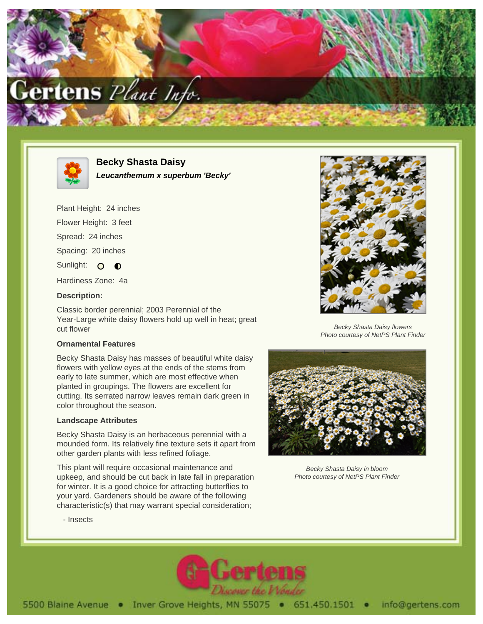



**Becky Shasta Daisy Leucanthemum x superbum 'Becky'**

Plant Height: 24 inches

Flower Height: 3 feet

Spread: 24 inches

Spacing: 20 inches

Sunlight: O O

Hardiness Zone: 4a

## **Description:**

Classic border perennial; 2003 Perennial of the Year-Large white daisy flowers hold up well in heat; great cut flower

## **Ornamental Features**

Becky Shasta Daisy has masses of beautiful white daisy flowers with yellow eyes at the ends of the stems from early to late summer, which are most effective when planted in groupings. The flowers are excellent for cutting. Its serrated narrow leaves remain dark green in color throughout the season.

## **Landscape Attributes**

Becky Shasta Daisy is an herbaceous perennial with a mounded form. Its relatively fine texture sets it apart from other garden plants with less refined foliage.

This plant will require occasional maintenance and upkeep, and should be cut back in late fall in preparation for winter. It is a good choice for attracting butterflies to your yard. Gardeners should be aware of the following characteristic(s) that may warrant special consideration;



Becky Shasta Daisy flowers Photo courtesy of NetPS Plant Finder



Becky Shasta Daisy in bloom Photo courtesy of NetPS Plant Finder

- Insects